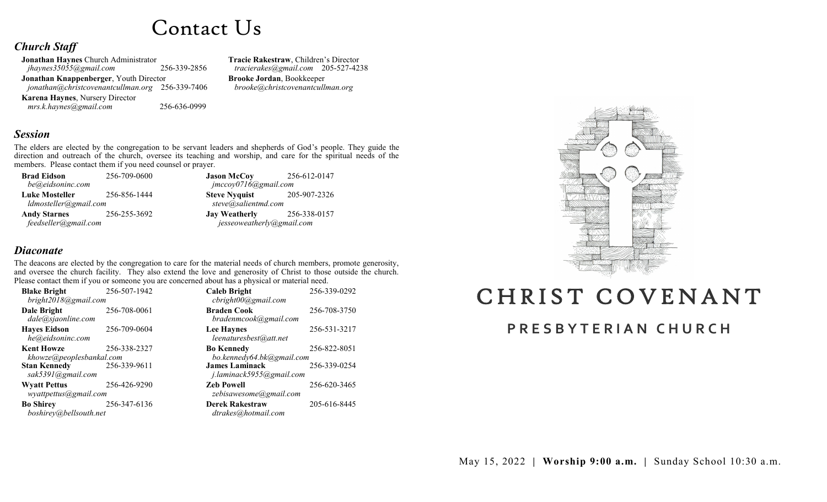# Contact Us

# *Church Staff*

#### **Jonathan Haynes** Church Administrator **Tracie Rakestraw**, Children's Director

| jhaynes35055@gmail.com                          | 256-339-2856 |  |
|-------------------------------------------------|--------------|--|
| <b>Jonathan Knappenberger, Youth Director</b>   |              |  |
| jonathan@christcovenantcullman.org 256-339-7406 |              |  |
| Karena Haynes, Nursery Director                 |              |  |
| mrs.k.haynes@gmail.com                          | 256-636-0999 |  |

 *jhaynes35055@gmail.com* 256-339-2856 *tracierakes@gmail.com* 205-527-4238 **Brooke Jordan**, Bookkeeper *jonathan@christcovenantcullman.org* 256-339-7406 *brooke@christcovenantcullman.org*

# *Session*

The elders are elected by the congregation to be servant leaders and shepherds of God's people. They guide the direction and outreach of the church, oversee its teaching and worship, and care for the spiritual needs of the members. Please contact them if you need counsel or prayer.

 *be@eidsoninc.com jmccoy0716@gmail.com ldmosteller@gmail.com feedseller@gmail.com jesseoweatherly@gmail.com*

**Brad Eidson** 256-709-0600 **Jason McCoy** 256-612-0147 **Luke Mosteller** 256-856-1444 **Steve Nyquist** 205-907-2326<br> *dmosteller@gmail.com steve@galientmd.com* **Andy Starnes** 256-255-3692 **Jay Weatherly** 256-338-0157

## *Diaconate*

The deacons are elected by the congregation to care for the material needs of church members, promote generosity, and oversee the church facility. They also extend the love and generosity of Christ to those outside the church. Please contact them if you or someone you are concerned about has a physical or material need.

| <b>Blake Bright</b><br>bright2018@gmail.com  | 256-507-1942 | <b>Caleb Bright</b><br>cbright00@gmail.com        | 256-339-0292 |
|----------------------------------------------|--------------|---------------------------------------------------|--------------|
| Dale Bright<br>dale@sjaonline.com            | 256-708-0061 | <b>Braden Cook</b><br>bradenmcook@gmail.com       | 256-708-3750 |
| <b>Hayes Eidson</b><br>he@eidsoninc.com      | 256-709-0604 | <b>Lee Haynes</b><br>leenaturesbest@att.net       | 256-531-3217 |
| Kent Howze<br>khowze@peoplesbankal.com       | 256-338-2327 | <b>Bo Kennedy</b><br>bo.kennedy64.bk@gmail.com    | 256-822-8051 |
| <b>Stan Kennedy</b><br>sak5391@gmail.com     | 256-339-9611 | <b>James Laminack</b><br>j.laminack5955@gmail.com | 256-339-0254 |
| <b>Wyatt Pettus</b><br>wyattpettus@gmail.com | 256-426-9290 | <b>Zeb Powell</b><br>zebisawesome@gmail.com       | 256-620-3465 |
| <b>Bo Shirey</b><br>boshirey@bellsouth.net   | 256-347-6136 | <b>Derek Rakestraw</b><br>dtrakes@hotmail.com     | 205-616-8445 |



# CHRIST COVENANT

# **P R E S B Y T E R I A N C H U R C H**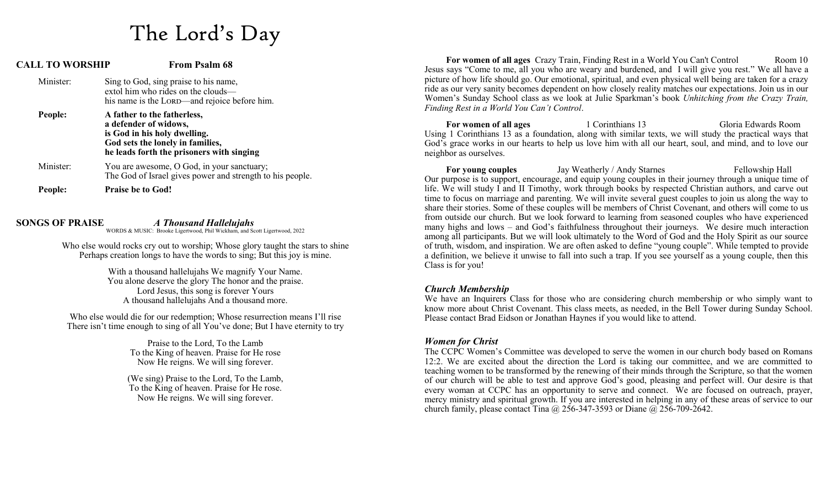# The Lord's Day

| <b>CALL TO WORSHIP</b> | <b>From Psalm 68</b>                                                                                                                                                  |
|------------------------|-----------------------------------------------------------------------------------------------------------------------------------------------------------------------|
| Minister:              | Sing to God, sing praise to his name,<br>extol him who rides on the clouds-<br>his name is the LORD—and rejoice before him.                                           |
| People:                | A father to the fatherless,<br>a defender of widows,<br>is God in his holy dwelling.<br>God sets the lonely in families,<br>he leads forth the prisoners with singing |
| Minister:              | You are awesome, O God, in your sanctuary;<br>The God of Israel gives power and strength to his people.                                                               |
| People:                | Praise be to God!                                                                                                                                                     |

### **SONGS OF PRAISE** *A Thousand Hallelujahs*

WORDS & MUSIC: Brooke Ligertwood, Phil Wickham, and Scott Ligertwood, 2022

Who else would rocks cry out to worship; Whose glory taught the stars to shine Perhaps creation longs to have the words to sing; But this joy is mine.

> With a thousand hallelujahs We magnify Your Name. You alone deserve the glory The honor and the praise. Lord Jesus, this song is forever Yours A thousand hallelujahs And a thousand more.

Who else would die for our redemption; Whose resurrection means I'll rise There isn't time enough to sing of all You've done; But I have eternity to try

> Praise to the Lord, To the Lamb To the King of heaven. Praise for He rose Now He reigns. We will sing forever.

(We sing) Praise to the Lord, To the Lamb, To the King of heaven. Praise for He rose. Now He reigns. We will sing forever.

**For women of all ages** Crazy Train, Finding Rest in a World You Can't Control Room 10 Jesus says "Come to me, all you who are weary and burdened, and I will give you rest." We all have a picture of how life should go. Our emotional, spiritual, and even physical well being are taken for a crazy ride as our very sanity becomes dependent on how closely reality matches our expectations. Join us in our Women's Sunday School class as we look at Julie Sparkman's book *Unhitching from the Crazy Train, Finding Rest in a World You Can't Control*.

**For women of all ages** 1 Corinthians 13 Gloria Edwards Room Using 1 Corinthians 13 as a foundation, along with similar texts, we will study the practical ways that God's grace works in our hearts to help us love him with all our heart, soul, and mind, and to love our neighbor as ourselves.

**For young couples** Jay Weatherly / Andy Starnes Fellowship Hall Our purpose is to support, encourage, and equip young couples in their journey through a unique time of life. We will study I and II Timothy, work through books by respected Christian authors, and carve out time to focus on marriage and parenting. We will invite several guest couples to join us along the way to share their stories. Some of these couples will be members of Christ Covenant, and others will come to us from outside our church. But we look forward to learning from seasoned couples who have experienced many highs and lows – and God's faithfulness throughout their journeys. We desire much interaction among all participants. But we will look ultimately to the Word of God and the Holy Spirit as our source of truth, wisdom, and inspiration. We are often asked to define "young couple". While tempted to provide a definition, we believe it unwise to fall into such a trap. If you see yourself as a young couple, then this Class is for you!

#### *Church Membership*

We have an Inquirers Class for those who are considering church membership or who simply want to know more about Christ Covenant. This class meets, as needed, in the Bell Tower during Sunday School. Please contact Brad Eidson or Jonathan Haynes if you would like to attend.

#### *Women for Christ*

The CCPC Women's Committee was developed to serve the women in our church body based on Romans 12:2. We are excited about the direction the Lord is taking our committee, and we are committed to teaching women to be transformed by the renewing of their minds through the Scripture, so that the women of our church will be able to test and approve God's good, pleasing and perfect will. Our desire is that every woman at CCPC has an opportunity to serve and connect. We are focused on outreach, prayer, mercy ministry and spiritual growth. If you are interested in helping in any of these areas of service to our church family, please contact Tina @ 256-347-3593 or Diane @ 256-709-2642.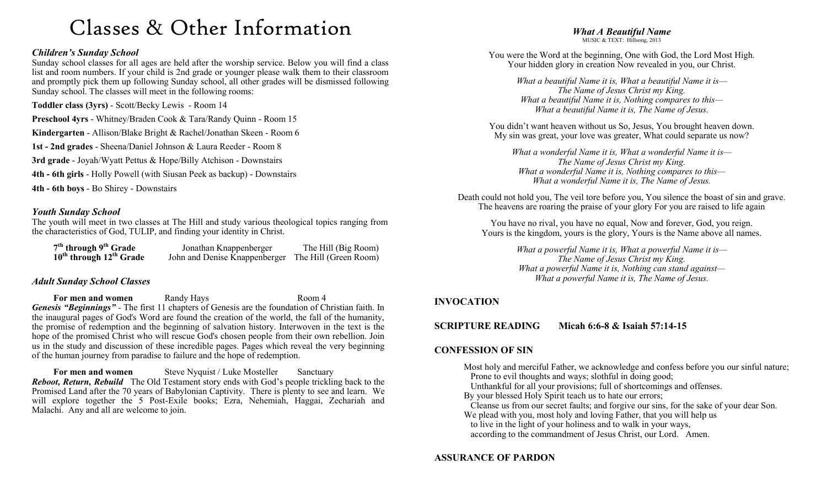# Classes & Other Information

### *Children's Sunday School*

Sunday school classes for all ages are held after the worship service. Below you will find a class list and room numbers. If your child is 2nd grade or younger please walk them to their classroom and promptly pick them up following Sunday school, all other grades will be dismissed following Sunday school. The classes will meet in the following rooms:

**Toddler class (3yrs)** - Scott/Becky Lewis - Room 14

**Preschool 4yrs** - Whitney/Braden Cook & Tara/Randy Quinn - Room 15

**Kindergarten** - Allison/Blake Bright & Rachel/Jonathan Skeen - Room 6

**1st - 2nd grades** - Sheena/Daniel Johnson & Laura Reeder - Room 8

**3rd grade** - Joyah/Wyatt Pettus & Hope/Billy Atchison - Downstairs

**4th - 6th girls** - Holly Powell (with Siusan Peek as backup) - Downstairs

**4th - 6th boys** - Bo Shirey - Downstairs

### *Youth Sunday School*

The youth will meet in two classes at The Hill and study various theological topics ranging from the characteristics of God, TULIP, and finding your identity in Christ.

| 7 <sup>th</sup> through 9 <sup>th</sup> Grade | Jonathan Knappenberger                              | The Hill (Big Room) |
|-----------------------------------------------|-----------------------------------------------------|---------------------|
| $10^{th}$ through $12^{th}$ Grade             | John and Denise Knappenberger The Hill (Green Room) |                     |

# *Adult Sunday School Classes*

**For men and women** Randy Hays **Room 4** Room 4 *Genesis "Beginnings" -* The first 11 chapters of Genesis are the foundation of Christian faith. In the inaugural pages of God's Word are found the creation of the world, the fall of the humanity, the promise of redemption and the beginning of salvation history. Interwoven in the text is the hope of the promised Christ who will rescue God's chosen people from their own rebellion. Join us in the study and discussion of these incredible pages. Pages which reveal the very beginning of the human journey from paradise to failure and the hope of redemption.

For men and women Steve Nyquist / Luke Mosteller Sanctuary *Reboot, Return, Rebuild* The Old Testament story ends with God's people trickling back to the Promised Land after the 70 years of Babylonian Captivity. There is plenty to see and learn. We will explore together the 5 Post-Exile books; Ezra, Nehemiah, Haggai, Zechariah and Malachi. Any and all are welcome to join.

#### *What A Beautiful Name* MUSIC & TEXT: Hillsong, 2013

You were the Word at the beginning, One with God, the Lord Most High. Your hidden glory in creation Now revealed in you, our Christ.

> *What a beautiful Name it is, What a beautiful Name it is— The Name of Jesus Christ my King. What a beautiful Name it is, Nothing compares to this— What a beautiful Name it is, The Name of Jesus.*

You didn't want heaven without us So, Jesus, You brought heaven down. My sin was great, your love was greater, What could separate us now?

*What a wonderful Name it is, What a wonderful Name it is— The Name of Jesus Christ my King. What a wonderful Name it is, Nothing compares to this— What a wonderful Name it is, The Name of Jesus.*

Death could not hold you, The veil tore before you, You silence the boast of sin and grave. The heavens are roaring the praise of your glory For you are raised to life again

You have no rival, you have no equal, Now and forever, God, you reign. Yours is the kingdom, yours is the glory, Yours is the Name above all names.

> *What a powerful Name it is, What a powerful Name it is— The Name of Jesus Christ my King. What a powerful Name it is, Nothing can stand against— What a powerful Name it is, The Name of Jesus.*

# **INVOCATION**

**SCRIPTURE READING Micah 6:6-8 & Isaiah 57:14-15**

# **CONFESSION OF SIN**

Most holy and merciful Father, we acknowledge and confess before you our sinful nature; Prone to evil thoughts and ways; slothful in doing good;

Unthankful for all your provisions; full of shortcomings and offenses.

By your blessed Holy Spirit teach us to hate our errors;

Cleanse us from our secret faults; and forgive our sins, for the sake of your dear Son.

We plead with you, most holy and loving Father, that you will help us

to live in the light of your holiness and to walk in your ways,

according to the commandment of Jesus Christ, our Lord. Amen.

# **ASSURANCE OF PARDON**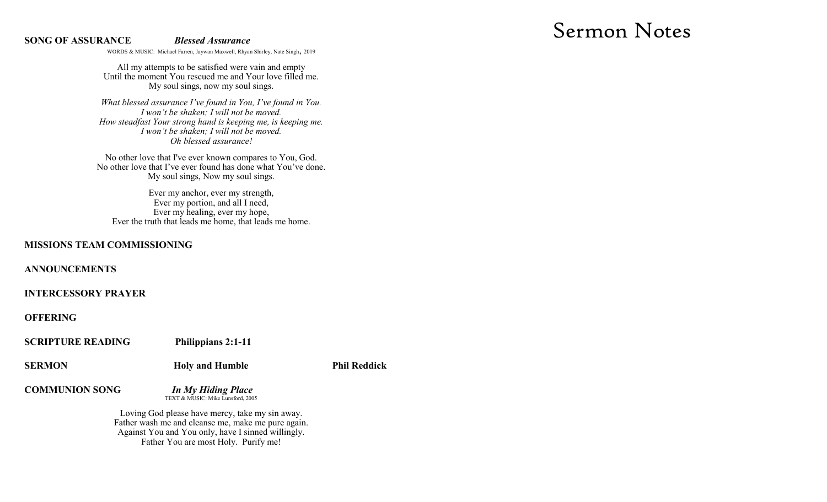# Sermon Notes

#### **SONG OF ASSURANCE** *Blessed Assurance*

WORDS & MUSIC: Michael Farren, Jaywan Maxwell, Rhyan Shirley, Nate Singh, <sup>2019</sup>

All my attempts to be satisfied were vain and empty Until the moment You rescued me and Your love filled me. My soul sings, now my soul sings.

*What blessed assurance I've found in You, I've found in You. I won't be shaken; I will not be moved. How steadfast Your strong hand is keeping me, is keeping me. I won't be shaken; I will not be moved. Oh blessed assurance!*

No other love that I've ever known compares to You, God. No other love that I've ever found has done what You've done. My soul sings, Now my soul sings.

Ever my anchor, ever my strength, Ever my portion, and all I need, Ever my healing, ever my hope, Ever the truth that leads me home, that leads me home.

### **MISSIONS TEAM COMMISSIONING**

### **ANNOUNCEMENTS**

# **INTERCESSORY PRAYER**

# **OFFERING**

**SCRIPTURE READING Philippians 2:1-11** 

**SERMON** Holy and Humble Phil Reddick

**COMMUNION SONG** *In My Hiding Place* 

TEXT & MUSIC: Mike Lunsford, 2005

Loving God please have mercy, take my sin away. Father wash me and cleanse me, make me pure again. Against You and You only, have I sinned willingly. Father You are most Holy. Purify me!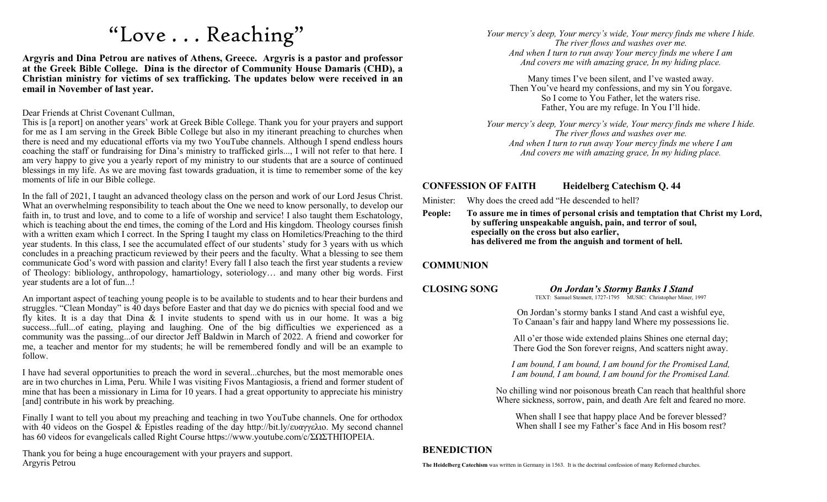# "Love . . . Reaching"

**Argyris and Dina Petrou are natives of Athens, Greece. Argyris is a pastor and professor at the Greek Bible College. Dina is the director of Community House Damaris (CHD), a Christian ministry for victims of sex trafficking. The updates below were received in an email in November of last year.**

### Dear Friends at Christ Covenant Cullman,

This is [a report] οn another years' work at Greek Bible College. Thank you for your prayers and support for me as I am serving in the Greek Bible College but also in my itinerant preaching to churches when there is need and my educational efforts via my two YouTube channels. Although I spend endless hours coaching the staff or fundraising for Dina's ministry to trafficked girls..., I will not refer to that here. I am very happy to give you a yearly report of my ministry to our students that are a source of continued blessings in my life. As we are moving fast towards graduation, it is time to remember some of the key moments of life in our Bible college.

In the fall of 2021, I taught an advanced theology class on the person and work of our Lord Jesus Christ. What an overwhelming responsibility to teach about the One we need to know personally, to develop our faith in, to trust and love, and to come to a life of worship and service! I also taught them Eschatology, which is teaching about the end times, the coming of the Lord and His kingdom. Theology courses finish with a written exam which I correct. In the Spring I taught my class on Homiletics/Preaching to the third year students. In this class, I see the accumulated effect of our students' study for 3 years with us which concludes in a preaching practicum reviewed by their peers and the faculty. What a blessing to see them communicate God's word with passion and clarity! Every fall I also teach the first year students a review of Theology: bibliology, anthropology, hamartiology, soteriology… and many other big words. First year students are a lot of fun...!

An important aspect of teaching young people is to be available to students and to hear their burdens and struggles. "Clean Monday" is 40 days before Easter and that day we do picnics with special food and we fly kites. It is a day that Dina  $\&$  I invite students to spend with us in our home. It was a big success...full...of eating, playing and laughing. One of the big difficulties we experienced as a community was the passing...of our director Jeff Baldwin in March of 2022. A friend and coworker for me, a teacher and mentor for my students; he will be remembered fondly and will be an example to follow.

I have had several opportunities to preach the word in several...churches, but the most memorable ones are in two churches in Lima, Peru. While I was visiting Fivos Mantagiosis, a friend and former student of mine that has been a missionary in Lima for 10 years. I had a great opportunity to appreciate his ministry [and] contribute in his work by preaching.

Finally I want to tell you about my preaching and teaching in two YouTube channels. One for orthodox with 40 videos on the Gospel & Epistles reading of the day http://bit.ly/ευαγγελιο. My second channel has 60 videos for evangelicals called Right Course https://www.youtube.com/c/ΣΩΣΤΗΠΟΡΕΙΑ.

Thank you for being a huge encouragement with your prayers and support. Argyris Petrou

*Your mercy's deep, Your mercy's wide, Your mercy finds me where I hide. The river flows and washes over me. And when I turn to run away Your mercy finds me where I am And covers me with amazing grace, In my hiding place.* 

Many times I've been silent, and I've wasted away. Then You've heard my confessions, and my sin You forgave. So I come to You Father, let the waters rise. Father, You are my refuge. In You I'll hide.

*Your mercy's deep, Your mercy's wide, Your mercy finds me where I hide. The river flows and washes over me. And when I turn to run away Your mercy finds me where I am And covers me with amazing grace, In my hiding place.* 

# **CONFESSION OF FAITH Heidelberg Catechism Q. 44**

Minister: Why does the creed add "He descended to hell?

**People: To assure me in times of personal crisis and temptation that Christ my Lord, by suffering unspeakable anguish, pain, and terror of soul, especially on the cross but also earlier, has delivered me from the anguish and torment of hell.**

# **COMMUNION**

# **CLOSING SONG** *On Jordan's Stormy Banks I Stand*

TEXT: Samuel Stennett, 1727-1795 MUSIC: Christopher Miner, 1997

On Jordan's stormy banks I stand And cast a wishful eye, To Canaan's fair and happy land Where my possessions lie.

All o'er those wide extended plains Shines one eternal day; There God the Son forever reigns, And scatters night away.

*I am bound, I am bound, I am bound for the Promised Land, I am bound, I am bound, I am bound for the Promised Land.*

No chilling wind nor poisonous breath Can reach that healthful shore Where sickness, sorrow, pain, and death Are felt and feared no more.

When shall I see that happy place And be forever blessed? When shall I see my Father's face And in His bosom rest?

# **BENEDICTION**

**The Heidelberg Catechism** was written in Germany in 1563. It is the doctrinal confession of many Reformed churches.